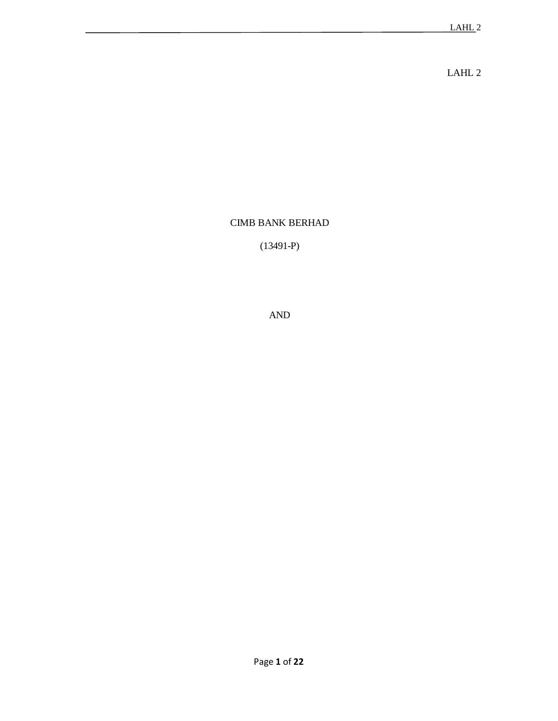LAHL 2

# CIMB BANK BERHAD

(13491-P)

AND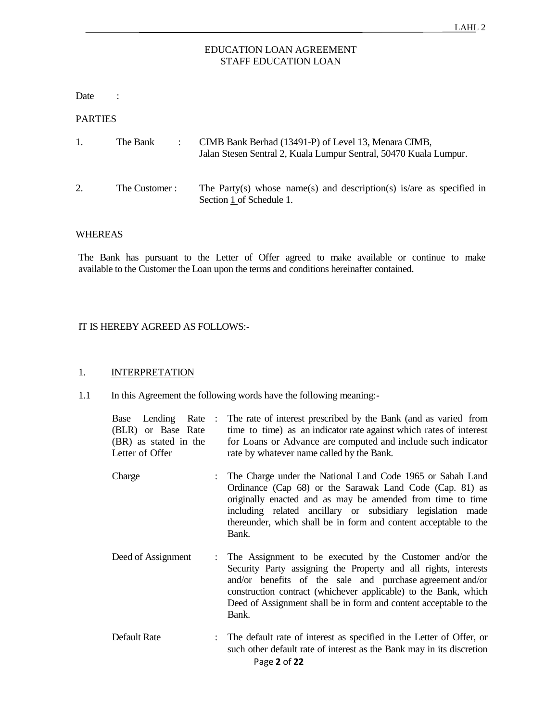# EDUCATION LOAN AGREEMENT STAFF EDUCATION LOAN

Date :

PARTIES

| 1. | The Bank       | CIMB Bank Berhad (13491-P) of Level 13, Menara CIMB,<br>Jalan Stesen Sentral 2, Kuala Lumpur Sentral, 50470 Kuala Lumpur. |
|----|----------------|---------------------------------------------------------------------------------------------------------------------------|
| 2. | The Customer : | The Party(s) whose name(s) and description(s) is/are as specified in<br>Section 1 of Schedule 1.                          |

#### WHEREAS

The Bank has pursuant to the Letter of Offer agreed to make available or continue to make available to the Customer the Loan upon the terms and conditions hereinafter contained.

# IT IS HEREBY AGREED AS FOLLOWS:-

# 1. **INTERPRETATION**

1.1 In this Agreement the following words have the following meaning:-

| Lending Rate :<br>Base<br>(BLR) or Base Rate<br>(BR) as stated in the<br>Letter of Offer |  | The rate of interest prescribed by the Bank (and as varied from<br>time to time) as an indicator rate against which rates of interest<br>for Loans or Advance are computed and include such indicator<br>rate by whatever name called by the Bank.                                                                                          |
|------------------------------------------------------------------------------------------|--|---------------------------------------------------------------------------------------------------------------------------------------------------------------------------------------------------------------------------------------------------------------------------------------------------------------------------------------------|
| Charge                                                                                   |  | : The Charge under the National Land Code 1965 or Sabah Land<br>Ordinance (Cap 68) or the Sarawak Land Code (Cap. 81) as<br>originally enacted and as may be amended from time to time<br>including related ancillary or subsidiary legislation made<br>thereunder, which shall be in form and content acceptable to the<br>Bank.           |
| Deed of Assignment                                                                       |  | : The Assignment to be executed by the Customer and/or the<br>Security Party assigning the Property and all rights, interests<br>and/or benefits of the sale and purchase agreement and/or<br>construction contract (whichever applicable) to the Bank, which<br>Deed of Assignment shall be in form and content acceptable to the<br>Bank. |
| Default Rate                                                                             |  | The default rate of interest as specified in the Letter of Offer, or<br>such other default rate of interest as the Bank may in its discretion<br>Page 2 of 22                                                                                                                                                                               |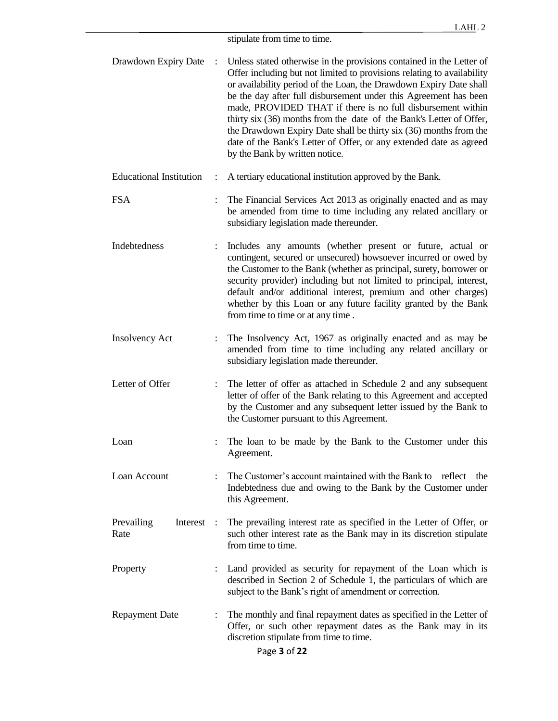stipulate from time to time.

| Drawdown Expiry Date             |  | Unless stated otherwise in the provisions contained in the Letter of<br>Offer including but not limited to provisions relating to availability<br>or availability period of the Loan, the Drawdown Expiry Date shall<br>be the day after full disbursement under this Agreement has been<br>made, PROVIDED THAT if there is no full disbursement within<br>thirty six (36) months from the date of the Bank's Letter of Offer,<br>the Drawdown Expiry Date shall be thirty six (36) months from the<br>date of the Bank's Letter of Offer, or any extended date as agreed<br>by the Bank by written notice. |
|----------------------------------|--|-------------------------------------------------------------------------------------------------------------------------------------------------------------------------------------------------------------------------------------------------------------------------------------------------------------------------------------------------------------------------------------------------------------------------------------------------------------------------------------------------------------------------------------------------------------------------------------------------------------|
| <b>Educational Institution</b>   |  | A tertiary educational institution approved by the Bank.                                                                                                                                                                                                                                                                                                                                                                                                                                                                                                                                                    |
| <b>FSA</b>                       |  | The Financial Services Act 2013 as originally enacted and as may<br>be amended from time to time including any related ancillary or<br>subsidiary legislation made thereunder.                                                                                                                                                                                                                                                                                                                                                                                                                              |
| Indebtedness                     |  | Includes any amounts (whether present or future, actual or<br>contingent, secured or unsecured) howsoever incurred or owed by<br>the Customer to the Bank (whether as principal, surety, borrower or<br>security provider) including but not limited to principal, interest,<br>default and/or additional interest, premium and other charges)<br>whether by this Loan or any future facility granted by the Bank<br>from time to time or at any time.                                                                                                                                                      |
| <b>Insolvency Act</b>            |  | The Insolvency Act, 1967 as originally enacted and as may be<br>amended from time to time including any related ancillary or<br>subsidiary legislation made thereunder.                                                                                                                                                                                                                                                                                                                                                                                                                                     |
| Letter of Offer                  |  | The letter of offer as attached in Schedule 2 and any subsequent<br>letter of offer of the Bank relating to this Agreement and accepted<br>by the Customer and any subsequent letter issued by the Bank to<br>the Customer pursuant to this Agreement.                                                                                                                                                                                                                                                                                                                                                      |
| Loan                             |  | The loan to be made by the Bank to the Customer under this<br>Agreement.                                                                                                                                                                                                                                                                                                                                                                                                                                                                                                                                    |
| Loan Account                     |  | The Customer's account maintained with the Bank to reflect the<br>Indebtedness due and owing to the Bank by the Customer under<br>this Agreement.                                                                                                                                                                                                                                                                                                                                                                                                                                                           |
| Prevailing<br>Interest :<br>Rate |  | The prevailing interest rate as specified in the Letter of Offer, or<br>such other interest rate as the Bank may in its discretion stipulate<br>from time to time.                                                                                                                                                                                                                                                                                                                                                                                                                                          |
| Property                         |  | Land provided as security for repayment of the Loan which is<br>described in Section 2 of Schedule 1, the particulars of which are<br>subject to the Bank's right of amendment or correction.                                                                                                                                                                                                                                                                                                                                                                                                               |
| <b>Repayment Date</b>            |  | The monthly and final repayment dates as specified in the Letter of<br>Offer, or such other repayment dates as the Bank may in its<br>discretion stipulate from time to time.                                                                                                                                                                                                                                                                                                                                                                                                                               |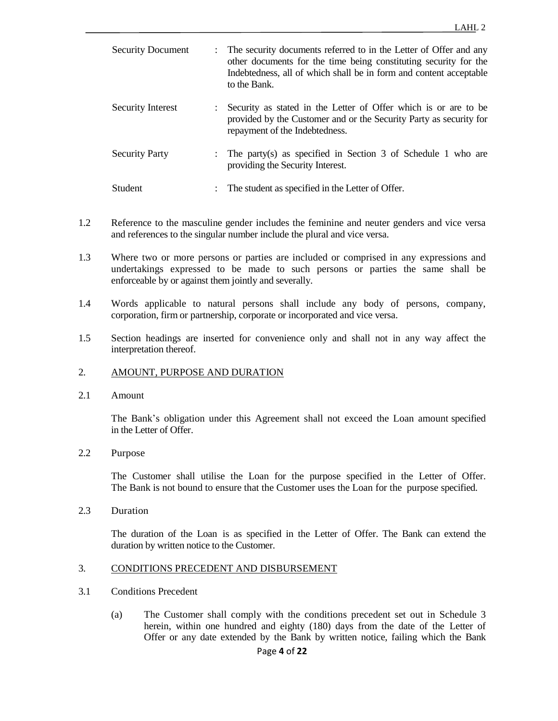| <b>Security Document</b> | The security documents referred to in the Letter of Offer and any<br>other documents for the time being constituting security for the<br>Indebtedness, all of which shall be in form and content acceptable<br>to the Bank. |
|--------------------------|-----------------------------------------------------------------------------------------------------------------------------------------------------------------------------------------------------------------------------|
| Security Interest        | Security as stated in the Letter of Offer which is or are to be<br>provided by the Customer and or the Security Party as security for<br>repayment of the Indebtedness.                                                     |
| <b>Security Party</b>    | : The party(s) as specified in Section 3 of Schedule 1 who are<br>providing the Security Interest.                                                                                                                          |
| Student                  | The student as specified in the Letter of Offer.                                                                                                                                                                            |

- 1.2 Reference to the masculine gender includes the feminine and neuter genders and vice versa and references to the singular number include the plural and vice versa.
- 1.3 Where two or more persons or parties are included or comprised in any expressions and undertakings expressed to be made to such persons or parties the same shall be enforceable by or against them jointly and severally.
- 1.4 Words applicable to natural persons shall include any body of persons, company, corporation, firm or partnership, corporate or incorporated and vice versa.
- 1.5 Section headings are inserted for convenience only and shall not in any way affect the interpretation thereof.
- 2. AMOUNT, PURPOSE AND DURATION
- 2.1 Amount

The Bank's obligation under this Agreement shall not exceed the Loan amount specified in the Letter of Offer.

2.2 Purpose

The Customer shall utilise the Loan for the purpose specified in the Letter of Offer. The Bank is not bound to ensure that the Customer uses the Loan for the purpose specified.

2.3 Duration

The duration of the Loan is as specified in the Letter of Offer. The Bank can extend the duration by written notice to the Customer.

### 3. CONDITIONS PRECEDENT AND DISBURSEMENT

- 3.1 Conditions Precedent
	- (a) The Customer shall comply with the conditions precedent set out in Schedule 3 herein, within one hundred and eighty (180) days from the date of the Letter of Offer or any date extended by the Bank by written notice, failing which the Bank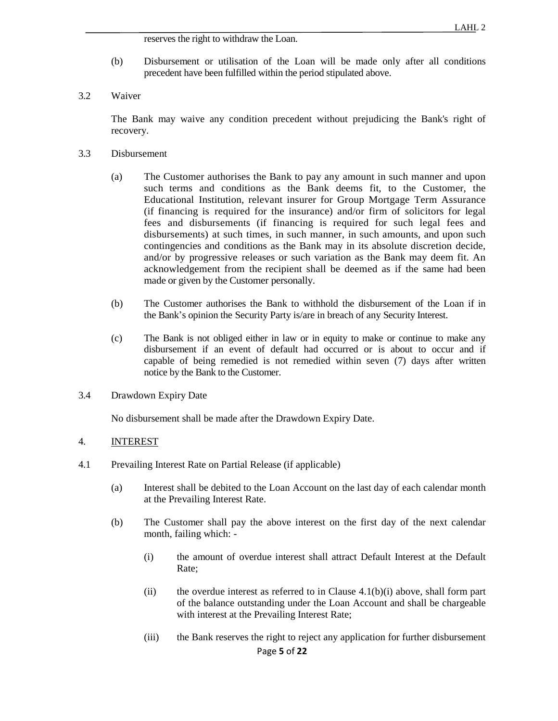reserves the right to withdraw the Loan.

- (b) Disbursement or utilisation of the Loan will be made only after all conditions precedent have been fulfilled within the period stipulated above.
- 3.2 Waiver

The Bank may waive any condition precedent without prejudicing the Bank's right of recovery.

- 3.3 Disbursement
	- (a) The Customer authorises the Bank to pay any amount in such manner and upon such terms and conditions as the Bank deems fit, to the Customer, the Educational Institution, relevant insurer for Group Mortgage Term Assurance (if financing is required for the insurance) and/or firm of solicitors for legal fees and disbursements (if financing is required for such legal fees and disbursements) at such times, in such manner, in such amounts, and upon such contingencies and conditions as the Bank may in its absolute discretion decide, and/or by progressive releases or such variation as the Bank may deem fit. An acknowledgement from the recipient shall be deemed as if the same had been made or given by the Customer personally.
	- (b) The Customer authorises the Bank to withhold the disbursement of the Loan if in the Bank's opinion the Security Party is/are in breach of any Security Interest.
	- (c) The Bank is not obliged either in law or in equity to make or continue to make any disbursement if an event of default had occurred or is about to occur and if capable of being remedied is not remedied within seven (7) days after written notice by the Bank to the Customer.
- 3.4 Drawdown Expiry Date

No disbursement shall be made after the Drawdown Expiry Date.

#### 4. INTEREST

- 4.1 Prevailing Interest Rate on Partial Release (if applicable)
	- (a) Interest shall be debited to the Loan Account on the last day of each calendar month at the Prevailing Interest Rate.
	- (b) The Customer shall pay the above interest on the first day of the next calendar month, failing which: -
		- (i) the amount of overdue interest shall attract Default Interest at the Default Rate;
		- (ii) the overdue interest as referred to in Clause  $4.1(b)(i)$  above, shall form part of the balance outstanding under the Loan Account and shall be chargeable with interest at the Prevailing Interest Rate;
		- Page **5** of **22** (iii) the Bank reserves the right to reject any application for further disbursement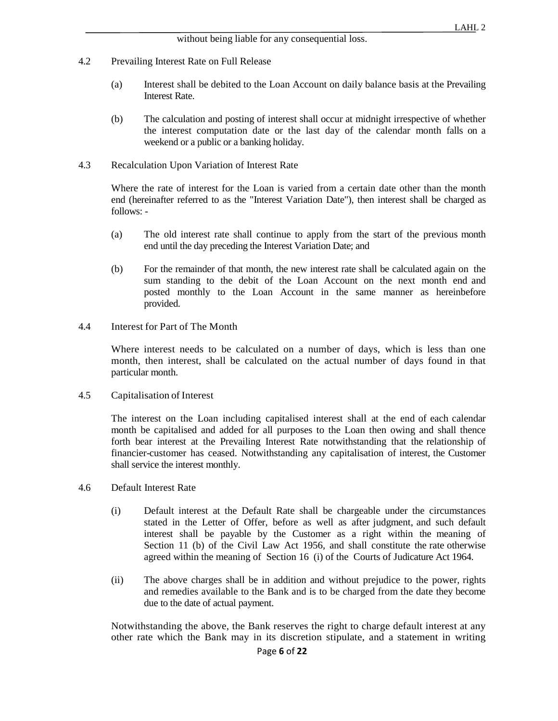- 4.2 Prevailing Interest Rate on Full Release
	- (a) Interest shall be debited to the Loan Account on daily balance basis at the Prevailing Interest Rate.
	- (b) The calculation and posting of interest shall occur at midnight irrespective of whether the interest computation date or the last day of the calendar month falls on a weekend or a public or a banking holiday.
- 4.3 Recalculation Upon Variation of Interest Rate

Where the rate of interest for the Loan is varied from a certain date other than the month end (hereinafter referred to as the "Interest Variation Date"), then interest shall be charged as follows: -

- (a) The old interest rate shall continue to apply from the start of the previous month end until the day preceding the Interest Variation Date; and
- (b) For the remainder of that month, the new interest rate shall be calculated again on the sum standing to the debit of the Loan Account on the next month end and posted monthly to the Loan Account in the same manner as hereinbefore provided.
- 4.4 Interest for Part of The Month

Where interest needs to be calculated on a number of days, which is less than one month, then interest, shall be calculated on the actual number of days found in that particular month.

4.5 Capitalisation of Interest

The interest on the Loan including capitalised interest shall at the end of each calendar month be capitalised and added for all purposes to the Loan then owing and shall thence forth bear interest at the Prevailing Interest Rate notwithstanding that the relationship of financier-customer has ceased. Notwithstanding any capitalisation of interest, the Customer shall service the interest monthly.

- 4.6 Default Interest Rate
	- (i) Default interest at the Default Rate shall be chargeable under the circumstances stated in the Letter of Offer, before as well as after judgment, and such default interest shall be payable by the Customer as a right within the meaning of Section 11 (b) of the Civil Law Act 1956, and shall constitute the rate otherwise agreed within the meaning of Section 16 (i) of the Courts of Judicature Act 1964.
	- (ii) The above charges shall be in addition and without prejudice to the power, rights and remedies available to the Bank and is to be charged from the date they become due to the date of actual payment.

Notwithstanding the above, the Bank reserves the right to charge default interest at any other rate which the Bank may in its discretion stipulate, and a statement in writing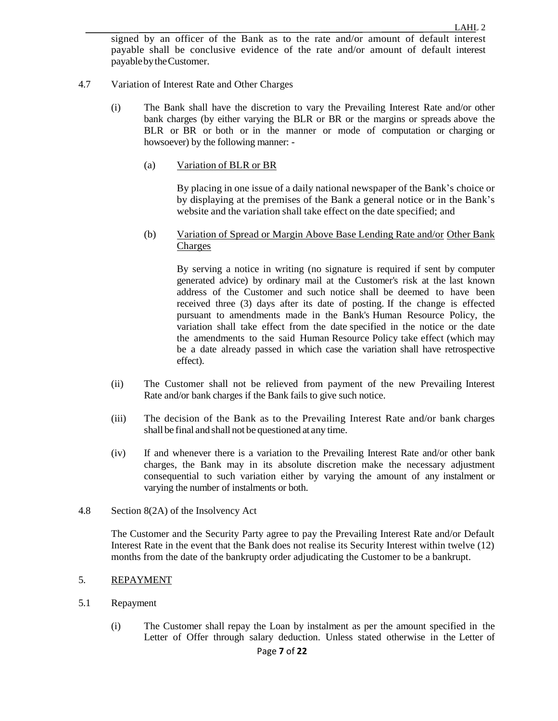signed by an officer of the Bank as to the rate and/or amount of default interest payable shall be conclusive evidence of the rate and/or amount of default interest payablebytheCustomer.

- 4.7 Variation of Interest Rate and Other Charges
	- (i) The Bank shall have the discretion to vary the Prevailing Interest Rate and/or other bank charges (by either varying the BLR or BR or the margins or spreads above the BLR or BR or both or in the manner or mode of computation or charging or howsoever) by the following manner: -
		- (a) Variation of BLR or BR

By placing in one issue of a daily national newspaper of the Bank's choice or by displaying at the premises of the Bank a general notice or in the Bank's website and the variation shall take effect on the date specified; and

(b) Variation of Spread or Margin Above Base Lending Rate and/or Other Bank Charges

By serving a notice in writing (no signature is required if sent by computer generated advice) by ordinary mail at the Customer's risk at the last known address of the Customer and such notice shall be deemed to have been received three (3) days after its date of posting. If the change is effected pursuant to amendments made in the Bank's Human Resource Policy, the variation shall take effect from the date specified in the notice or the date the amendments to the said Human Resource Policy take effect (which may be a date already passed in which case the variation shall have retrospective effect).

- (ii) The Customer shall not be relieved from payment of the new Prevailing Interest Rate and/or bank charges if the Bank fails to give such notice.
- (iii) The decision of the Bank as to the Prevailing Interest Rate and/or bank charges shall be final and shall not be questioned at any time.
- (iv) If and whenever there is a variation to the Prevailing Interest Rate and/or other bank charges, the Bank may in its absolute discretion make the necessary adjustment consequential to such variation either by varying the amount of any instalment or varying the number of instalments or both.
- 4.8 Section 8(2A) of the Insolvency Act

The Customer and the Security Party agree to pay the Prevailing Interest Rate and/or Default Interest Rate in the event that the Bank does not realise its Security Interest within twelve (12) months from the date of the bankrupty order adjudicating the Customer to be a bankrupt.

#### 5. REPAYMENT

- 5.1 Repayment
	- (i) The Customer shall repay the Loan by instalment as per the amount specified in the Letter of Offer through salary deduction. Unless stated otherwise in the Letter of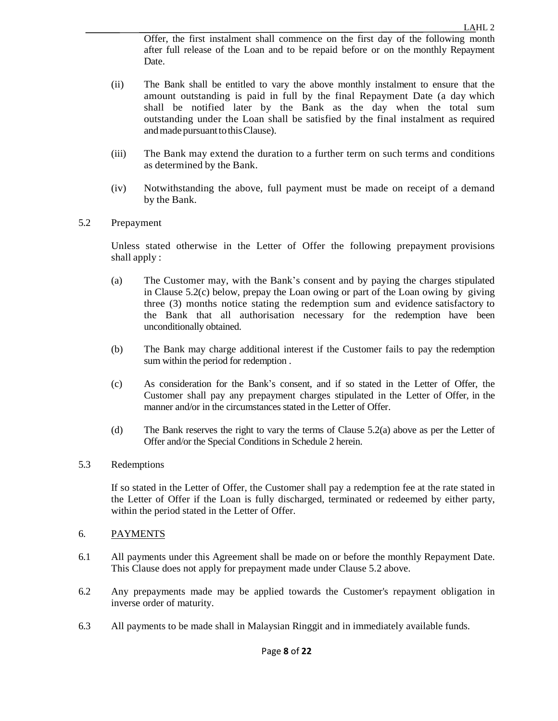Offer, the first instalment shall commence on the first day of the following month after full release of the Loan and to be repaid before or on the monthly Repayment Date.

- (ii) The Bank shall be entitled to vary the above monthly instalment to ensure that the amount outstanding is paid in full by the final Repayment Date (a day which shall be notified later by the Bank as the day when the total sum outstanding under the Loan shall be satisfied by the final instalment as required and made pursuant to this Clause).
- (iii) The Bank may extend the duration to a further term on such terms and conditions as determined by the Bank.
- (iv) Notwithstanding the above, full payment must be made on receipt of a demand by the Bank.

# 5.2 Prepayment

Unless stated otherwise in the Letter of Offer the following prepayment provisions shall apply :

- (a) The Customer may, with the Bank's consent and by paying the charges stipulated in Clause  $5.2(c)$  below, prepay the Loan owing or part of the Loan owing by giving three (3) months notice stating the redemption sum and evidence satisfactory to the Bank that all authorisation necessary for the redemption have been unconditionally obtained.
- (b) The Bank may charge additional interest if the Customer fails to pay the redemption sum within the period for redemption .
- (c) As consideration for the Bank's consent, and if so stated in the Letter of Offer, the Customer shall pay any prepayment charges stipulated in the Letter of Offer, in the manner and/or in the circumstances stated in the Letter of Offer.
- (d) The Bank reserves the right to vary the terms of Clause 5.2(a) above as per the Letter of Offer and/or the Special Conditions in Schedule 2 herein.

### 5.3 Redemptions

If so stated in the Letter of Offer, the Customer shall pay a redemption fee at the rate stated in the Letter of Offer if the Loan is fully discharged, terminated or redeemed by either party, within the period stated in the Letter of Offer.

### 6. PAYMENTS

- 6.1 All payments under this Agreement shall be made on or before the monthly Repayment Date. This Clause does not apply for prepayment made under Clause 5.2 above.
- 6.2 Any prepayments made may be applied towards the Customer's repayment obligation in inverse order of maturity.
- 6.3 All payments to be made shall in Malaysian Ringgit and in immediately available funds.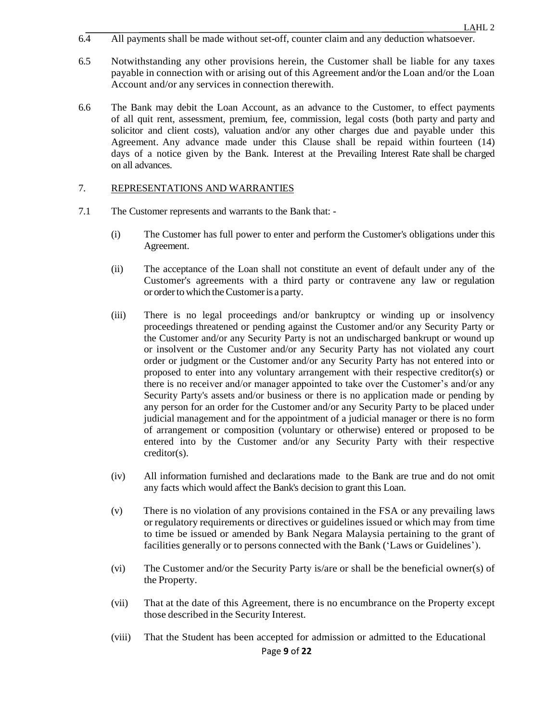- 6.4 All payments shall be made without set-off, counter claim and any deduction whatsoever.
- 6.5 Notwithstanding any other provisions herein, the Customer shall be liable for any taxes payable in connection with or arising out of this Agreement and/or the Loan and/or the Loan Account and/or any services in connection therewith.
- 6.6 The Bank may debit the Loan Account, as an advance to the Customer, to effect payments of all quit rent, assessment, premium, fee, commission, legal costs (both party and party and solicitor and client costs), valuation and/or any other charges due and payable under this Agreement. Any advance made under this Clause shall be repaid within fourteen (14) days of a notice given by the Bank. Interest at the Prevailing Interest Rate shall be charged on all advances.

# 7. REPRESENTATIONS AND WARRANTIES

- 7.1 The Customer represents and warrants to the Bank that:
	- (i) The Customer has full power to enter and perform the Customer's obligations under this Agreement.
	- (ii) The acceptance of the Loan shall not constitute an event of default under any of the Customer's agreements with a third party or contravene any law or regulation or orderto which theCustomeris a party.
	- (iii) There is no legal proceedings and/or bankruptcy or winding up or insolvency proceedings threatened or pending against the Customer and/or any Security Party or the Customer and/or any Security Party is not an undischarged bankrupt or wound up or insolvent or the Customer and/or any Security Party has not violated any court order or judgment or the Customer and/or any Security Party has not entered into or proposed to enter into any voluntary arrangement with their respective creditor(s) or there is no receiver and/or manager appointed to take over the Customer's and/or any Security Party's assets and/or business or there is no application made or pending by any person for an order for the Customer and/or any Security Party to be placed under judicial management and for the appointment of a judicial manager or there is no form of arrangement or composition (voluntary or otherwise) entered or proposed to be entered into by the Customer and/or any Security Party with their respective creditor(s).
	- (iv) All information furnished and declarations made to the Bank are true and do not omit any facts which would affect the Bank's decision to grant this Loan.
	- (v) There is no violation of any provisions contained in the FSA or any prevailing laws or regulatory requirements or directives or guidelines issued or which may from time to time be issued or amended by Bank Negara Malaysia pertaining to the grant of facilities generally or to persons connected with the Bank ('Laws or Guidelines').
	- (vi) The Customer and/or the Security Party is/are or shall be the beneficial owner(s) of the Property.
	- (vii) That at the date of this Agreement, there is no encumbrance on the Property except those described in the Security Interest.
	- (viii) That the Student has been accepted for admission or admitted to the Educational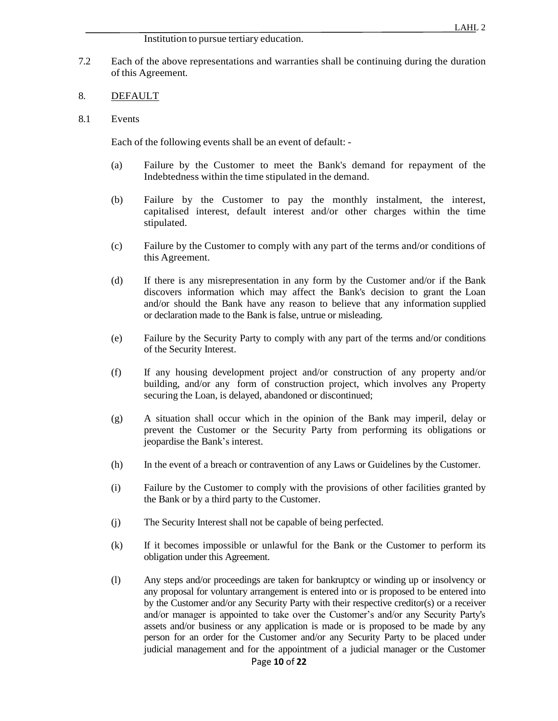#### Institution to pursue tertiary education.

7.2 Each of the above representations and warranties shall be continuing during the duration of this Agreement.

### 8. DEFAULT

8.1 Events

Each of the following events shall be an event of default: -

- (a) Failure by the Customer to meet the Bank's demand for repayment of the Indebtedness within the time stipulated in the demand.
- (b) Failure by the Customer to pay the monthly instalment, the interest, capitalised interest, default interest and/or other charges within the time stipulated.
- (c) Failure by the Customer to comply with any part of the terms and/or conditions of this Agreement.
- (d) If there is any misrepresentation in any form by the Customer and/or if the Bank discovers information which may affect the Bank's decision to grant the Loan and/or should the Bank have any reason to believe that any information supplied or declaration made to the Bank is false, untrue or misleading.
- (e) Failure by the Security Party to comply with any part of the terms and/or conditions of the Security Interest.
- (f) If any housing development project and/or construction of any property and/or building, and/or any form of construction project, which involves any Property securing the Loan, is delayed, abandoned or discontinued;
- (g) A situation shall occur which in the opinion of the Bank may imperil, delay or prevent the Customer or the Security Party from performing its obligations or jeopardise the Bank's interest.
- (h) In the event of a breach or contravention of any Laws or Guidelines by the Customer.
- (i) Failure by the Customer to comply with the provisions of other facilities granted by the Bank or by a third party to the Customer.
- (j) The Security Interest shall not be capable of being perfected.
- (k) If it becomes impossible or unlawful for the Bank or the Customer to perform its obligation under this Agreement.
- (l) Any steps and/or proceedings are taken for bankruptcy or winding up or insolvency or any proposal for voluntary arrangement is entered into or is proposed to be entered into by the Customer and/or any Security Party with their respective creditor(s) or a receiver and/or manager is appointed to take over the Customer's and/or any Security Party's assets and/or business or any application is made or is proposed to be made by any person for an order for the Customer and/or any Security Party to be placed under judicial management and for the appointment of a judicial manager or the Customer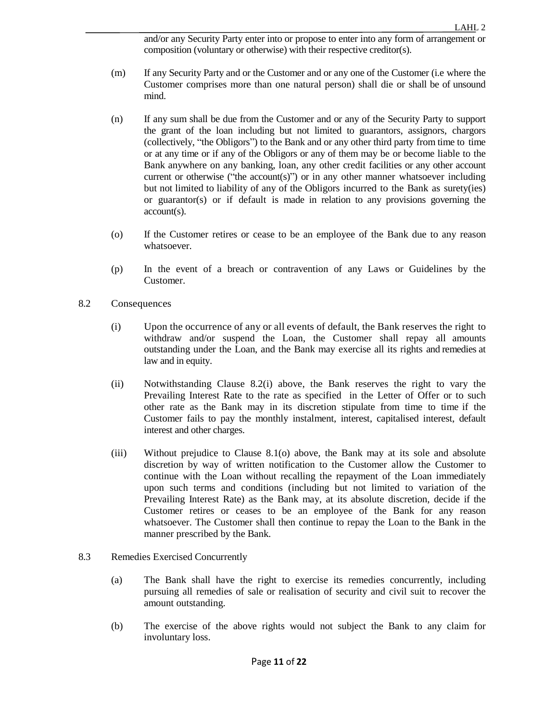and/or any Security Party enter into or propose to enter into any form of arrangement or composition (voluntary or otherwise) with their respective creditor(s).

- (m) If any Security Party and or the Customer and or any one of the Customer (i.e where the Customer comprises more than one natural person) shall die or shall be of unsound mind.
- (n) If any sum shall be due from the Customer and or any of the Security Party to support the grant of the loan including but not limited to guarantors, assignors, chargors (collectively, "the Obligors") to the Bank and or any other third party from time to time or at any time or if any of the Obligors or any of them may be or become liable to the Bank anywhere on any banking, loan, any other credit facilities or any other account current or otherwise ("the account(s)") or in any other manner whatsoever including but not limited to liability of any of the Obligors incurred to the Bank as surety(ies) or guarantor(s) or if default is made in relation to any provisions governing the account(s).
- (o) If the Customer retires or cease to be an employee of the Bank due to any reason whatsoever.
- (p) In the event of a breach or contravention of any Laws or Guidelines by the Customer.
- 8.2 Consequences
	- (i) Upon the occurrence of any or all events of default, the Bank reserves the right to withdraw and/or suspend the Loan, the Customer shall repay all amounts outstanding under the Loan, and the Bank may exercise all its rights and remedies at law and in equity.
	- (ii) Notwithstanding Clause 8.2(i) above, the Bank reserves the right to vary the Prevailing Interest Rate to the rate as specified in the Letter of Offer or to such other rate as the Bank may in its discretion stipulate from time to time if the Customer fails to pay the monthly instalment, interest, capitalised interest, default interest and other charges.
	- (iii) Without prejudice to Clause 8.1(o) above, the Bank may at its sole and absolute discretion by way of written notification to the Customer allow the Customer to continue with the Loan without recalling the repayment of the Loan immediately upon such terms and conditions (including but not limited to variation of the Prevailing Interest Rate) as the Bank may, at its absolute discretion, decide if the Customer retires or ceases to be an employee of the Bank for any reason whatsoever. The Customer shall then continue to repay the Loan to the Bank in the manner prescribed by the Bank.
- 8.3 Remedies Exercised Concurrently
	- (a) The Bank shall have the right to exercise its remedies concurrently, including pursuing all remedies of sale or realisation of security and civil suit to recover the amount outstanding.
	- (b) The exercise of the above rights would not subject the Bank to any claim for involuntary loss.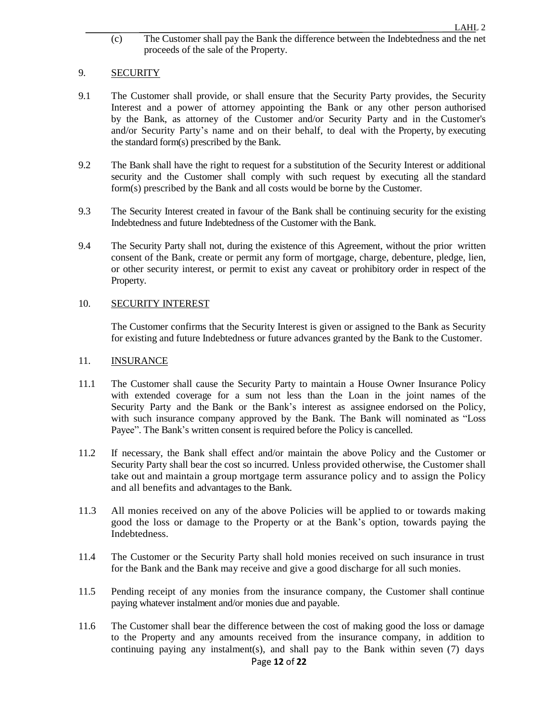(c) The Customer shall pay the Bank the difference between the Indebtedness and the net proceeds of the sale of the Property.

# 9. SECURITY

- 9.1 The Customer shall provide, or shall ensure that the Security Party provides, the Security Interest and a power of attorney appointing the Bank or any other person authorised by the Bank, as attorney of the Customer and/or Security Party and in the Customer's and/or Security Party's name and on their behalf, to deal with the Property, by executing the standard form(s) prescribed by the Bank.
- 9.2 The Bank shall have the right to request for a substitution of the Security Interest or additional security and the Customer shall comply with such request by executing all the standard form(s) prescribed by the Bank and all costs would be borne by the Customer.
- 9.3 The Security Interest created in favour of the Bank shall be continuing security for the existing Indebtedness and future Indebtedness of the Customer with the Bank.
- 9.4 The Security Party shall not, during the existence of this Agreement, without the prior written consent of the Bank, create or permit any form of mortgage, charge, debenture, pledge, lien, or other security interest, or permit to exist any caveat or prohibitory order in respect of the Property.

# 10. SECURITY INTEREST

The Customer confirms that the Security Interest is given or assigned to the Bank as Security for existing and future Indebtedness or future advances granted by the Bank to the Customer.

### 11. INSURANCE

- 11.1 The Customer shall cause the Security Party to maintain a House Owner Insurance Policy with extended coverage for a sum not less than the Loan in the joint names of the Security Party and the Bank or the Bank's interest as assignee endorsed on the Policy, with such insurance company approved by the Bank. The Bank will nominated as "Loss Payee". The Bank's written consent is required before the Policy is cancelled.
- 11.2 If necessary, the Bank shall effect and/or maintain the above Policy and the Customer or Security Party shall bear the cost so incurred. Unless provided otherwise, the Customer shall take out and maintain a group mortgage term assurance policy and to assign the Policy and all benefits and advantages to the Bank.
- 11.3 All monies received on any of the above Policies will be applied to or towards making good the loss or damage to the Property or at the Bank's option, towards paying the Indebtedness.
- 11.4 The Customer or the Security Party shall hold monies received on such insurance in trust for the Bank and the Bank may receive and give a good discharge for all such monies.
- 11.5 Pending receipt of any monies from the insurance company, the Customer shall continue paying whatever instalment and/or monies due and payable.
- 11.6 The Customer shall bear the difference between the cost of making good the loss or damage to the Property and any amounts received from the insurance company, in addition to continuing paying any instalment(s), and shall pay to the Bank within seven  $(7)$  days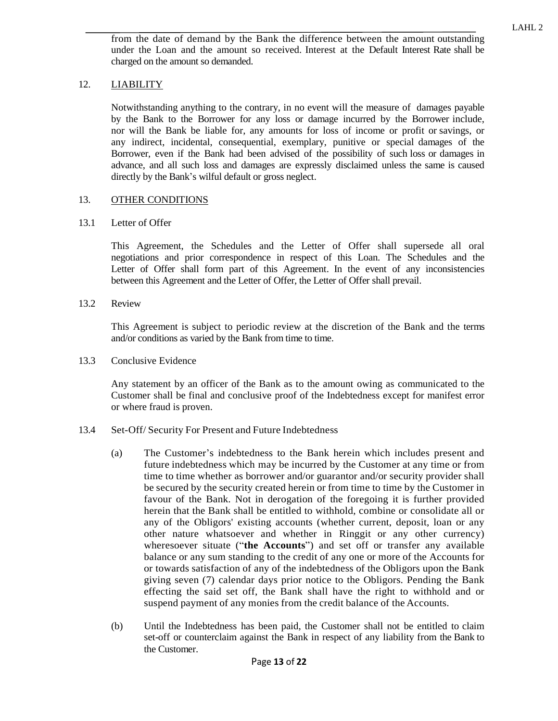from the date of demand by the Bank the difference between the amount outstanding under the Loan and the amount so received. Interest at the Default Interest Rate shall be charged on the amount so demanded.

# 12. LIABILITY

Notwithstanding anything to the contrary, in no event will the measure of damages payable by the Bank to the Borrower for any loss or damage incurred by the Borrower include, nor will the Bank be liable for, any amounts for loss of income or profit or savings, or any indirect, incidental, consequential, exemplary, punitive or special damages of the Borrower, even if the Bank had been advised of the possibility of such loss or damages in advance, and all such loss and damages are expressly disclaimed unless the same is caused directly by the Bank's wilful default or gross neglect.

# 13. OTHER CONDITIONS

### 13.1 Letter of Offer

This Agreement, the Schedules and the Letter of Offer shall supersede all oral negotiations and prior correspondence in respect of this Loan. The Schedules and the Letter of Offer shall form part of this Agreement. In the event of any inconsistencies between this Agreement and the Letter of Offer, the Letter of Offer shall prevail.

13.2 Review

This Agreement is subject to periodic review at the discretion of the Bank and the terms and/or conditions as varied by the Bank from time to time.

13.3 Conclusive Evidence

Any statement by an officer of the Bank as to the amount owing as communicated to the Customer shall be final and conclusive proof of the Indebtedness except for manifest error or where fraud is proven.

- 13.4 Set-Off/ Security For Present and Future Indebtedness
	- (a) The Customer's indebtedness to the Bank herein which includes present and future indebtedness which may be incurred by the Customer at any time or from time to time whether as borrower and/or guarantor and/or security provider shall be secured by the security created herein or from time to time by the Customer in favour of the Bank. Not in derogation of the foregoing it is further provided herein that the Bank shall be entitled to withhold, combine or consolidate all or any of the Obligors' existing accounts (whether current, deposit, loan or any other nature whatsoever and whether in Ringgit or any other currency) wheresoever situate ("**the Accounts**") and set off or transfer any available balance or any sum standing to the credit of any one or more of the Accounts for or towards satisfaction of any of the indebtedness of the Obligors upon the Bank giving seven (7) calendar days prior notice to the Obligors. Pending the Bank effecting the said set off, the Bank shall have the right to withhold and or suspend payment of any monies from the credit balance of the Accounts.
	- (b) Until the Indebtedness has been paid, the Customer shall not be entitled to claim set-off or counterclaim against the Bank in respect of any liability from the Bank to the Customer.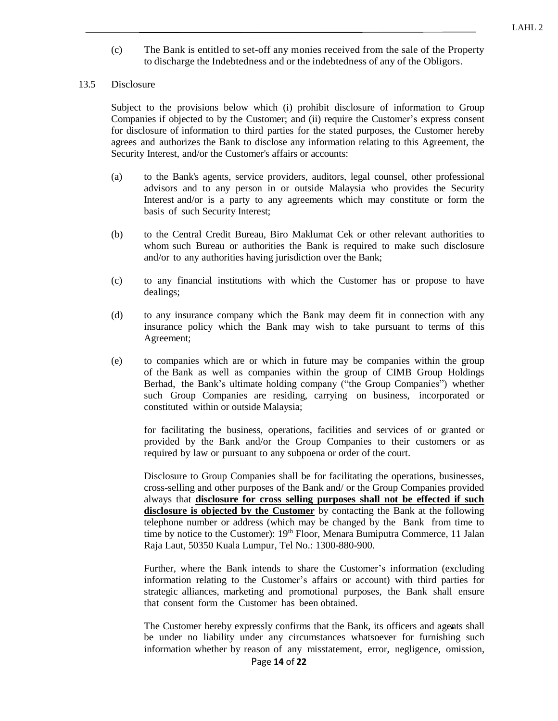(c) The Bank is entitled to set-off any monies received from the sale of the Property to discharge the Indebtedness and or the indebtedness of any of the Obligors.

### 13.5 Disclosure

Subject to the provisions below which (i) prohibit disclosure of information to Group Companies if objected to by the Customer; and (ii) require the Customer's express consent for disclosure of information to third parties for the stated purposes, the Customer hereby agrees and authorizes the Bank to disclose any information relating to this Agreement, the Security Interest, and/or the Customer's affairs or accounts:

- (a) to the Bank's agents, service providers, auditors, legal counsel, other professional advisors and to any person in or outside Malaysia who provides the Security Interest and/or is a party to any agreements which may constitute or form the basis of such Security Interest;
- (b) to the Central Credit Bureau, Biro Maklumat Cek or other relevant authorities to whom such Bureau or authorities the Bank is required to make such disclosure and/or to any authorities having jurisdiction over the Bank;
- (c) to any financial institutions with which the Customer has or propose to have dealings;
- (d) to any insurance company which the Bank may deem fit in connection with any insurance policy which the Bank may wish to take pursuant to terms of this Agreement;
- (e) to companies which are or which in future may be companies within the group of the Bank as well as companies within the group of CIMB Group Holdings Berhad, the Bank's ultimate holding company ("the Group Companies") whether such Group Companies are residing, carrying on business, incorporated or constituted within or outside Malaysia;

for facilitating the business, operations, facilities and services of or granted or provided by the Bank and/or the Group Companies to their customers or as required by law or pursuant to any subpoena or order of the court.

Disclosure to Group Companies shall be for facilitating the operations, businesses, cross-selling and other purposes of the Bank and/ or the Group Companies provided always that **disclosure for cross selling purposes shall not be effected if such disclosure is objected by the Customer** by contacting the Bank at the following telephone number or address (which may be changed by the Bank from time to time by notice to the Customer):  $19<sup>th</sup>$  Floor, Menara Bumiputra Commerce, 11 Jalan Raja Laut, 50350 Kuala Lumpur, Tel No.: 1300-880-900.

Further, where the Bank intends to share the Customer's information (excluding information relating to the Customer's affairs or account) with third parties for strategic alliances, marketing and promotional purposes, the Bank shall ensure that consent form the Customer has been obtained.

The Customer hereby expressly confirms that the Bank, its officers and agents shall be under no liability under any circumstances whatsoever for furnishing such information whether by reason of any misstatement, error, negligence, omission,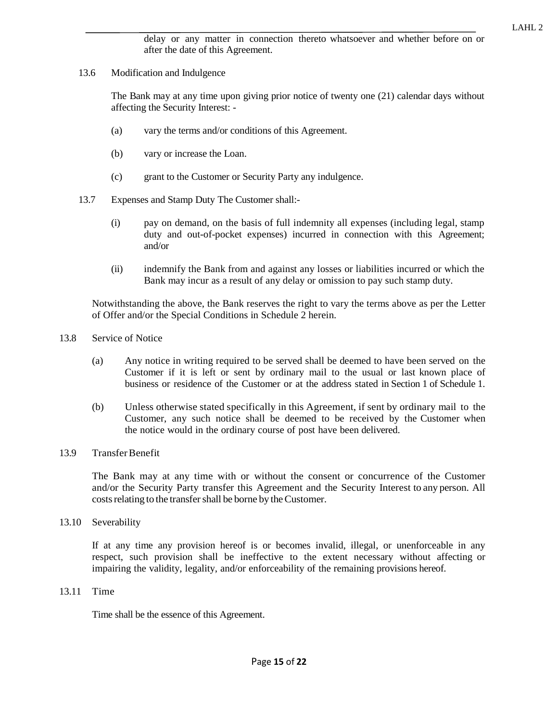delay or any matter in connection thereto whatsoever and whether before on or after the date of this Agreement.

13.6 Modification and Indulgence

The Bank may at any time upon giving prior notice of twenty one (21) calendar days without affecting the Security Interest: -

- (a) vary the terms and/or conditions of this Agreement.
- (b) vary or increase the Loan.
- (c) grant to the Customer or Security Party any indulgence.
- 13.7 Expenses and Stamp Duty The Customer shall:-
	- (i) pay on demand, on the basis of full indemnity all expenses (including legal, stamp duty and out-of-pocket expenses) incurred in connection with this Agreement; and/or
	- (ii) indemnify the Bank from and against any losses or liabilities incurred or which the Bank may incur as a result of any delay or omission to pay such stamp duty.

Notwithstanding the above, the Bank reserves the right to vary the terms above as per the Letter of Offer and/or the Special Conditions in Schedule 2 herein.

- 13.8 Service of Notice
	- (a) Any notice in writing required to be served shall be deemed to have been served on the Customer if it is left or sent by ordinary mail to the usual or last known place of business or residence of the Customer or at the address stated in Section 1 of Schedule 1.
	- (b) Unless otherwise stated specifically in this Agreement, if sent by ordinary mail to the Customer, any such notice shall be deemed to be received by the Customer when the notice would in the ordinary course of post have been delivered.
- 13.9 Transfer Benefit

The Bank may at any time with or without the consent or concurrence of the Customer and/or the Security Party transfer this Agreement and the Security Interest to any person. All costs relating to the transfer shall be borne by the Customer.

13.10 Severability

If at any time any provision hereof is or becomes invalid, illegal, or unenforceable in any respect, such provision shall be ineffective to the extent necessary without affecting or impairing the validity, legality, and/or enforceability of the remaining provisions hereof.

13.11 Time

Time shall be the essence of this Agreement.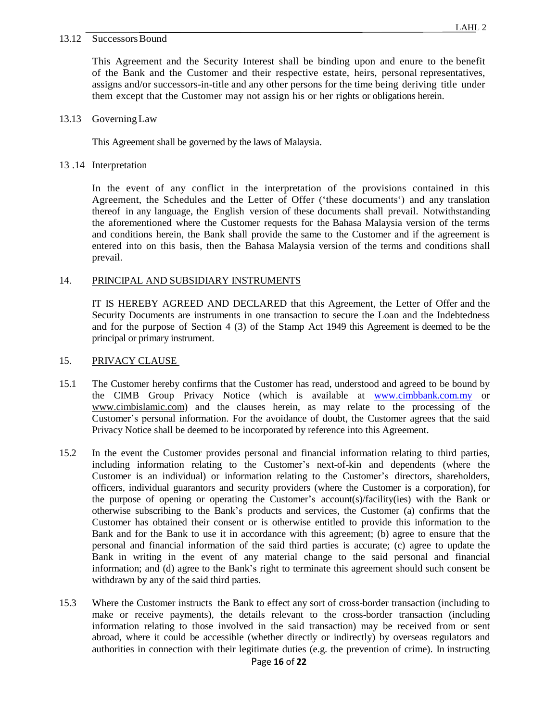#### 13.12 SuccessorsBound

This Agreement and the Security Interest shall be binding upon and enure to the benefit of the Bank and the Customer and their respective estate, heirs, personal representatives, assigns and/or successors-in-title and any other persons for the time being deriving title under them except that the Customer may not assign his or her rights or obligations herein.

### 13.13 GoverningLaw

This Agreement shall be governed by the laws of Malaysia.

13 .14 Interpretation

In the event of any conflict in the interpretation of the provisions contained in this Agreement, the Schedules and the Letter of Offer ('these documents') and any translation thereof in any language, the English version of these documents shall prevail. Notwithstanding the aforementioned where the Customer requests for the Bahasa Malaysia version of the terms and conditions herein, the Bank shall provide the same to the Customer and if the agreement is entered into on this basis, then the Bahasa Malaysia version of the terms and conditions shall prevail.

# 14. PRINCIPAL AND SUBSIDIARY INSTRUMENTS

IT IS HEREBY AGREED AND DECLARED that this Agreement, the Letter of Offer and the Security Documents are instruments in one transaction to secure the Loan and the Indebtedness and for the purpose of Section 4 (3) of the Stamp Act 1949 this Agreement is deemed to be the principal or primary instrument.

### 15. PRIVACY CLAUSE

- 15.1 The Customer hereby confirms that the Customer has read, understood and agreed to be bound by the CIMB Group Privacy Notice (which is available at www.cimbbank.com.my or www.cimbislamic.com) and the clauses herein, as may relate to the processing of the Customer's personal information. For the avoidance of doubt, the Customer agrees that the said Privacy Notice shall be deemed to be incorporated by reference into this Agreement.
- 15.2 In the event the Customer provides personal and financial information relating to third parties, including information relating to the Customer's next-of-kin and dependents (where the Customer is an individual) or information relating to the Customer's directors, shareholders, officers, individual guarantors and security providers (where the Customer is a corporation), for the purpose of opening or operating the Customer's account(s)/facility(ies) with the Bank or otherwise subscribing to the Bank's products and services, the Customer (a) confirms that the Customer has obtained their consent or is otherwise entitled to provide this information to the Bank and for the Bank to use it in accordance with this agreement; (b) agree to ensure that the personal and financial information of the said third parties is accurate; (c) agree to update the Bank in writing in the event of any material change to the said personal and financial information; and (d) agree to the Bank's right to terminate this agreement should such consent be withdrawn by any of the said third parties.
- 15.3 Where the Customer instructs the Bank to effect any sort of cross-border transaction (including to make or receive payments), the details relevant to the cross-border transaction (including information relating to those involved in the said transaction) may be received from or sent abroad, where it could be accessible (whether directly or indirectly) by overseas regulators and authorities in connection with their legitimate duties (e.g. the prevention of crime). In instructing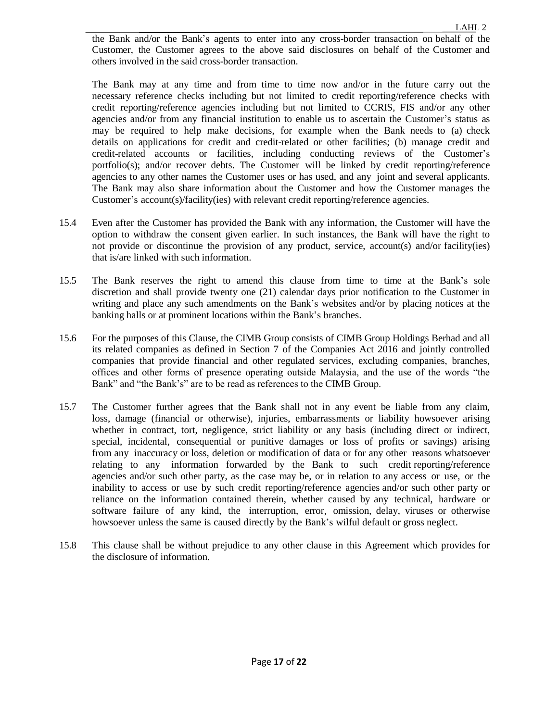the Bank and/or the Bank's agents to enter into any cross-border transaction on behalf of the Customer, the Customer agrees to the above said disclosures on behalf of the Customer and others involved in the said cross-border transaction.

The Bank may at any time and from time to time now and/or in the future carry out the necessary reference checks including but not limited to credit reporting/reference checks with credit reporting/reference agencies including but not limited to CCRIS, FIS and/or any other agencies and/or from any financial institution to enable us to ascertain the Customer's status as may be required to help make decisions, for example when the Bank needs to (a) check details on applications for credit and credit-related or other facilities; (b) manage credit and credit-related accounts or facilities, including conducting reviews of the Customer's portfolio(s); and/or recover debts. The Customer will be linked by credit reporting/reference agencies to any other names the Customer uses or has used, and any joint and several applicants. The Bank may also share information about the Customer and how the Customer manages the Customer's account(s)/facility(ies) with relevant credit reporting/reference agencies.

- 15.4 Even after the Customer has provided the Bank with any information, the Customer will have the option to withdraw the consent given earlier. In such instances, the Bank will have the right to not provide or discontinue the provision of any product, service, account(s) and/or facility(ies) that is/are linked with such information.
- 15.5 The Bank reserves the right to amend this clause from time to time at the Bank's sole discretion and shall provide twenty one (21) calendar days prior notification to the Customer in writing and place any such amendments on the Bank's websites and/or by placing notices at the banking halls or at prominent locations within the Bank's branches.
- 15.6 For the purposes of this Clause, the CIMB Group consists of CIMB Group Holdings Berhad and all its related companies as defined in Section 7 of the Companies Act 2016 and jointly controlled companies that provide financial and other regulated services, excluding companies, branches, offices and other forms of presence operating outside Malaysia, and the use of the words "the Bank" and "the Bank's" are to be read as references to the CIMB Group.
- 15.7 The Customer further agrees that the Bank shall not in any event be liable from any claim, loss, damage (financial or otherwise), injuries, embarrassments or liability howsoever arising whether in contract, tort, negligence, strict liability or any basis (including direct or indirect, special, incidental, consequential or punitive damages or loss of profits or savings) arising from any inaccuracy or loss, deletion or modification of data or for any other reasons whatsoever relating to any information forwarded by the Bank to such credit reporting/reference agencies and/or such other party, as the case may be, or in relation to any access or use, or the inability to access or use by such credit reporting/reference agencies and/or such other party or reliance on the information contained therein, whether caused by any technical, hardware or software failure of any kind, the interruption, error, omission, delay, viruses or otherwise howsoever unless the same is caused directly by the Bank's wilful default or gross neglect.
- 15.8 This clause shall be without prejudice to any other clause in this Agreement which provides for the disclosure of information.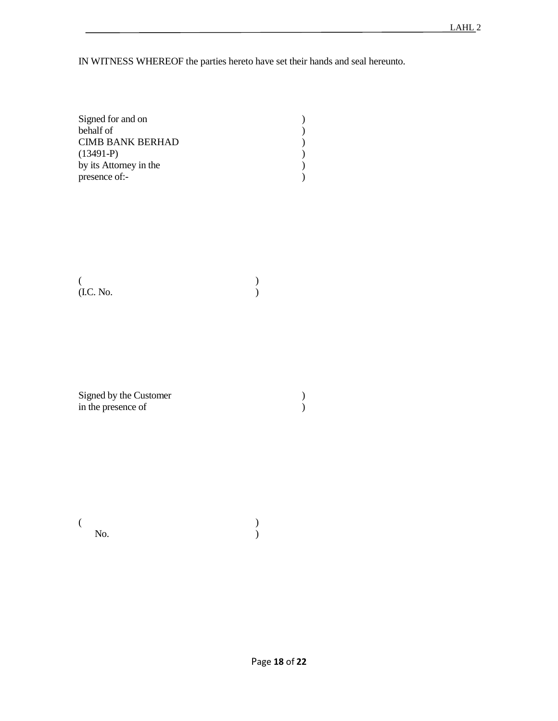IN WITNESS WHEREOF the parties hereto have set their hands and seal hereunto.

| Signed for and on      |  |
|------------------------|--|
| behalf of              |  |
| CIMB BANK BERHAD       |  |
| $(13491-P)$            |  |
| by its Attorney in the |  |
| presence of:-          |  |

 $($ (I.C. No. )

Signed by the Customer (1) in the presence of )

 $($  $\mathbb{N}\mathbf{o}$ .  $\qquad \qquad$  )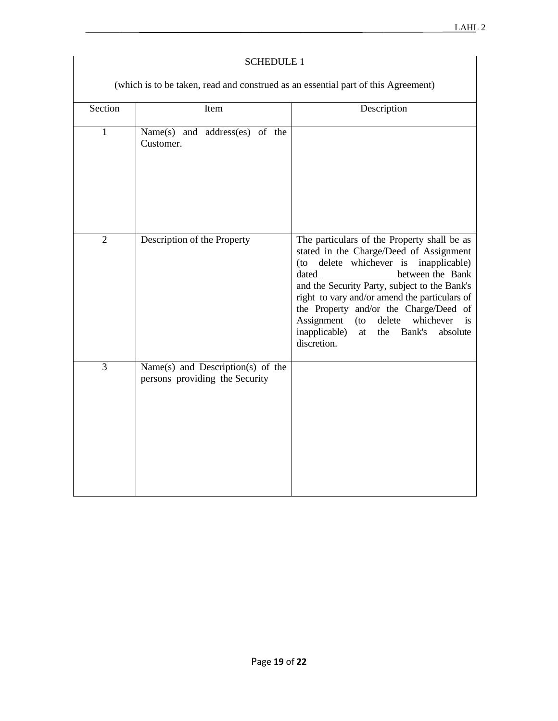|                                                                                   | <b>SCHEDULE 1</b>                                                   |                                                                                                                                                                                                                                                                                                                                                                                                                                        |  |  |  |  |  |
|-----------------------------------------------------------------------------------|---------------------------------------------------------------------|----------------------------------------------------------------------------------------------------------------------------------------------------------------------------------------------------------------------------------------------------------------------------------------------------------------------------------------------------------------------------------------------------------------------------------------|--|--|--|--|--|
| (which is to be taken, read and construed as an essential part of this Agreement) |                                                                     |                                                                                                                                                                                                                                                                                                                                                                                                                                        |  |  |  |  |  |
| Section                                                                           | Item                                                                | Description                                                                                                                                                                                                                                                                                                                                                                                                                            |  |  |  |  |  |
| $\mathbf{1}$                                                                      | Name(s) and address(es) of the<br>Customer.                         |                                                                                                                                                                                                                                                                                                                                                                                                                                        |  |  |  |  |  |
| $\overline{2}$                                                                    | Description of the Property                                         | The particulars of the Property shall be as<br>stated in the Charge/Deed of Assignment<br>delete whichever is<br>inapplicable)<br>(to<br>dated<br>between the Bank<br>and the Security Party, subject to the Bank's<br>right to vary and/or amend the particulars of<br>the Property and/or the Charge/Deed of<br>Assignment<br>delete<br>whichever<br>$($ to<br>is<br>inapplicable)<br>Bank's<br>absolute<br>at<br>the<br>discretion. |  |  |  |  |  |
| 3                                                                                 | Name(s) and Description(s) of the<br>persons providing the Security |                                                                                                                                                                                                                                                                                                                                                                                                                                        |  |  |  |  |  |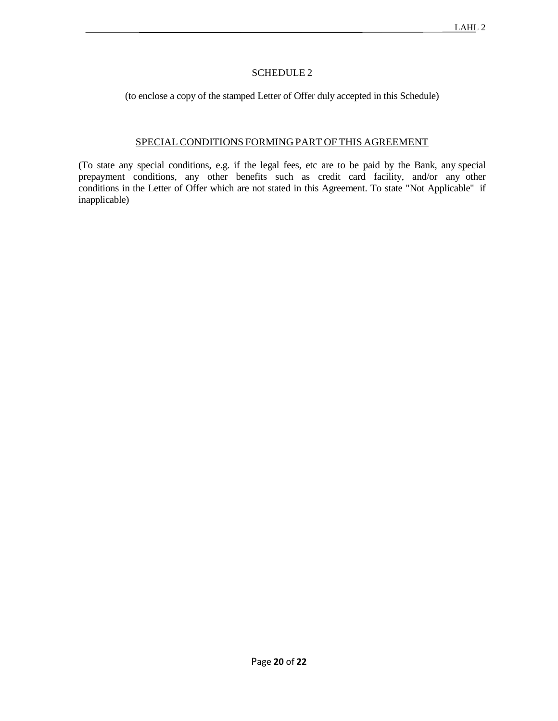# SCHEDULE 2

(to enclose a copy of the stamped Letter of Offer duly accepted in this Schedule)

# SPECIAL CONDITIONS FORMING PART OF THIS AGREEMENT

(To state any special conditions, e.g. if the legal fees, etc are to be paid by the Bank, any special prepayment conditions, any other benefits such as credit card facility, and/or any other conditions in the Letter of Offer which are not stated in this Agreement. To state "Not Applicable" if inapplicable)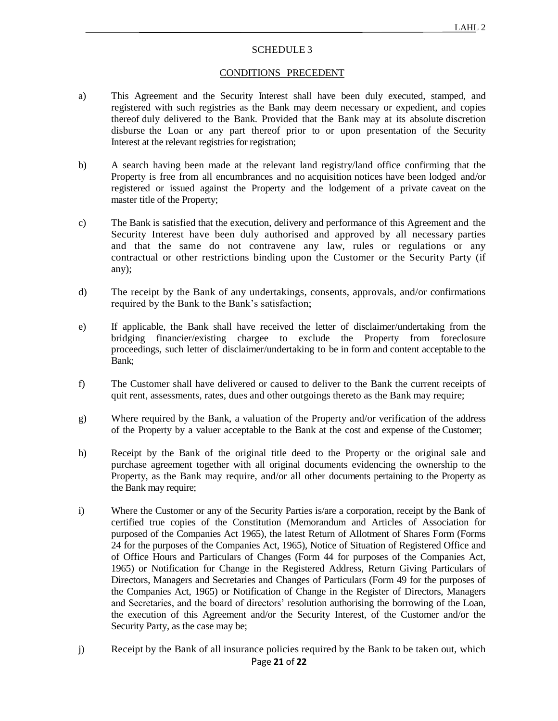### SCHEDULE 3

### CONDITIONS PRECEDENT

- a) This Agreement and the Security Interest shall have been duly executed, stamped, and registered with such registries as the Bank may deem necessary or expedient, and copies thereof duly delivered to the Bank. Provided that the Bank may at its absolute discretion disburse the Loan or any part thereof prior to or upon presentation of the Security Interest at the relevant registries for registration;
- b) A search having been made at the relevant land registry/land office confirming that the Property is free from all encumbrances and no acquisition notices have been lodged and/or registered or issued against the Property and the lodgement of a private caveat on the master title of the Property;
- c) The Bank is satisfied that the execution, delivery and performance of this Agreement and the Security Interest have been duly authorised and approved by all necessary parties and that the same do not contravene any law, rules or regulations or any contractual or other restrictions binding upon the Customer or the Security Party (if any);
- d) The receipt by the Bank of any undertakings, consents, approvals, and/or confirmations required by the Bank to the Bank's satisfaction;
- e) If applicable, the Bank shall have received the letter of disclaimer/undertaking from the bridging financier/existing chargee to exclude the Property from foreclosure proceedings, such letter of disclaimer/undertaking to be in form and content acceptable to the Bank;
- f) The Customer shall have delivered or caused to deliver to the Bank the current receipts of quit rent, assessments, rates, dues and other outgoings thereto as the Bank may require;
- g) Where required by the Bank, a valuation of the Property and/or verification of the address of the Property by a valuer acceptable to the Bank at the cost and expense of the Customer;
- h) Receipt by the Bank of the original title deed to the Property or the original sale and purchase agreement together with all original documents evidencing the ownership to the Property, as the Bank may require, and/or all other documents pertaining to the Property as the Bank may require;
- i) Where the Customer or any of the Security Parties is/are a corporation, receipt by the Bank of certified true copies of the Constitution (Memorandum and Articles of Association for purposed of the Companies Act 1965), the latest Return of Allotment of Shares Form (Forms 24 for the purposes of the Companies Act, 1965), Notice of Situation of Registered Office and of Office Hours and Particulars of Changes (Form 44 for purposes of the Companies Act, 1965) or Notification for Change in the Registered Address, Return Giving Particulars of Directors, Managers and Secretaries and Changes of Particulars (Form 49 for the purposes of the Companies Act, 1965) or Notification of Change in the Register of Directors, Managers and Secretaries, and the board of directors' resolution authorising the borrowing of the Loan, the execution of this Agreement and/or the Security Interest, of the Customer and/or the Security Party, as the case may be;
- Page **21** of **22** j) Receipt by the Bank of all insurance policies required by the Bank to be taken out, which